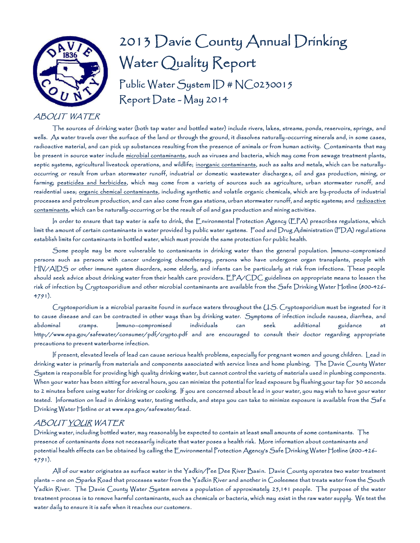

# 2013 Davie County Annual Drinking Water Quality Report Public Water System ID # NC0230015 Report Date - May 2014

## ABOUT WATER

 The sources of drinking water (both tap water and bottled water) include rivers, lakes, streams, ponds, reservoirs, springs, and wells. As water travels over the surface of the land or through the ground, it dissolves naturally -occurring minerals and, in some cases, radioactive material, and can pick up substances resulting from the presence of animals or from human activity. Contaminants that may be present in source water include microbial contaminants, such as viruses and bacteria, which may come from sewage treatment plants, septic systems, agricultural livestock operations, and wildlife; inorganic contaminants, such as salts and metals, which can be naturallyoccurring or result from urban stormwater runoff, industrial or domestic wastewater discharge s, oil and gas production, mining, or farming; pesticides and herbicides, which may come from a variety of sources such as agriculture, urban stormwater runoff, and residential uses; organic chemical contaminants, including synthetic and volatile organic chemicals, which are by-products of industrial processes and petroleum production, and can also come from gas stations, urban stormwater runoff, and septic systems; and radioactive contaminants, which can be naturally-occurring or be the result of oil and gas production and mining activities.

 In order to ensure that tap water is safe to drink, the Environmental Protection Agency (EPA) prescribes regulations, which limit the amount of certain contaminants in water provided by public water systems. Food and Drug Administration (FDA) regul ations establish limits for contaminants in bottled water, which must provide the same protection for public health.

 Some people may be more vulnerable to contaminants in drinking water than the general population. Immuno -compromised persons such as persons with cancer undergoing chemotherapy, persons who have undergone organ transplants, people with HIV/AIDS or other immune system disorders, some elderly, and infants can be particularly at risk from infections. These people should seek advice about drinking water from their health care providers. EPA/CDC guidelines on appropriate means to lessen t he risk of infection by Cryptosporidium and other microbial contaminants are available from the Safe Drinking Water Hotline (800-426- 4791).

 Cryptosporidium is a microbial parasite found in surface waters throughout the U.S. Cryptosporidium must be ingested for it to cause disease and can be contracted in other ways than by drinking water. Symptoms of infection include nausea, diarrhea, and abdominal cramps. Immuno–compromised individuals can seek additional guidance at http://www.epa.gov/safewater/consumer/pdf/crypto.pdf and are encouraged to consult their doctor regarding appropriate precautions to prevent waterborne infection.

 If present, elevated levels of lead can cause serious health problems, especially for preg nant women and young children. Lead in drinking water is primarily from materials and components associated with service lines and home plumbing. The Davie County Water System is responsible for providing high quality drinking water, but cannot control the variety of material s used in plumbing components. When your water has been sitting for several hours, you can minimize the potential for lead exposure by flushing your tap for 30 seconds to 2 minutes before using water for drinking or cooking. If you are concerned about le ad in your water, you may wish to have your water tested. Information on lead in drinking water, testing methods, and steps you can take to minimize exposure is available from the Saf e Drinking Water Hotline or at www.epa.gov/safewater/lead.

## ABOUT YOUR WATER

Drinking water, including bottled water, may reasonably be expected to contain at least small amounts of some contaminants. The presence of contaminants does not necessarily indicate that water poses a health risk. More information about contaminants and potential health effects can be obtained by calling the Environmental Protection Agency's Safe Drinking Water Hotline (800 -426- 4791).

All of our water originates as surface water in the Yadkin/Pee Dee River Basin. Davie County operates two water treatment plants – one on Sparks Road that processes water from the Yadkin River and another in Cooleemee that treats water from the South Yadkin River. The Davie County Water System serves a population of approximately 25,141 people. The purpose of the water treatment process is to remove harmful contaminants, such as chemicals or bacteria, which may exist in the raw water supply. We test the water daily to ensure it is safe when it reaches our customers.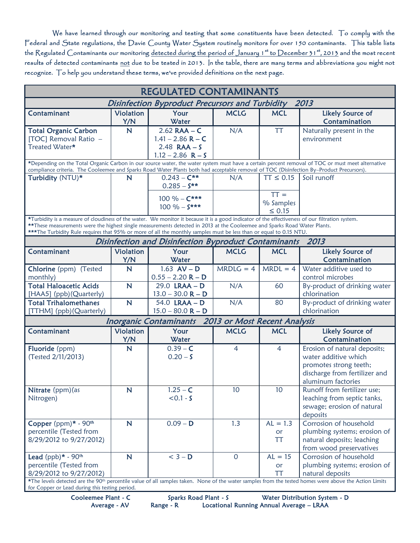We have learned through our monitoring and testing that some constituents have been detected. To comply with the Federal and State regulations, the Davie County Water System routinely monitors for over 150 contaminants. This table lists the Regulated Contaminants our monitoring <u>detected during the period of January 1st to December 31st, 2013</u> and the most recent results of detected contaminants not due to be tested in 2013. In the table, there are many terms and abbreviations you might not recognize. To help you understand these terms, we've provided definitions on the next page.

| <b>REGULATED CONTAMINANTS</b>                                                                                                                                                                                                                                                                |                                                                |                                                             |                |                |                                                           |  |  |  |  |
|----------------------------------------------------------------------------------------------------------------------------------------------------------------------------------------------------------------------------------------------------------------------------------------------|----------------------------------------------------------------|-------------------------------------------------------------|----------------|----------------|-----------------------------------------------------------|--|--|--|--|
| <b>Disinfection Byproduct Precursors and Turbidity</b><br>2013                                                                                                                                                                                                                               |                                                                |                                                             |                |                |                                                           |  |  |  |  |
| Contaminant                                                                                                                                                                                                                                                                                  | Violation                                                      | Your                                                        | <b>MCLG</b>    | <b>MCL</b>     | Likely Source of                                          |  |  |  |  |
|                                                                                                                                                                                                                                                                                              | Y/N                                                            | Water                                                       |                |                | Contamination                                             |  |  |  |  |
| <b>Total Organic Carbon</b>                                                                                                                                                                                                                                                                  | N                                                              | $2.62$ RAA – C                                              | N/A            | <b>TT</b>      | Naturally present in the                                  |  |  |  |  |
| [TOC] Removal Ratio -                                                                                                                                                                                                                                                                        |                                                                | $1.41 - 2.86 R - C$                                         |                |                | environment                                               |  |  |  |  |
| Treated Water*                                                                                                                                                                                                                                                                               |                                                                | $2.48$ RAA $- S$                                            |                |                |                                                           |  |  |  |  |
| $1.12 - 2.86$ R - S                                                                                                                                                                                                                                                                          |                                                                |                                                             |                |                |                                                           |  |  |  |  |
| *Depending on the Total Organic Carbon in our source water, the water system must have a certain percent removal of TOC or must meet alternative<br>compliance criteria. The Cooleemee and Sparks Road Water Plants both had acceptable removal of TOC (Disinfection By-Product Precursors). |                                                                |                                                             |                |                |                                                           |  |  |  |  |
| Turbidity (NTU)*                                                                                                                                                                                                                                                                             | N                                                              | $0.243 - C**$                                               | N/A            | $TT \leq 0.15$ | Soil runoff                                               |  |  |  |  |
|                                                                                                                                                                                                                                                                                              |                                                                | $0.285 - S^{**}$                                            |                |                |                                                           |  |  |  |  |
|                                                                                                                                                                                                                                                                                              |                                                                | 100 % - $C***$                                              |                | $TT =$         |                                                           |  |  |  |  |
|                                                                                                                                                                                                                                                                                              |                                                                | $100 \% - S***$                                             |                | % Samples      |                                                           |  |  |  |  |
|                                                                                                                                                                                                                                                                                              |                                                                |                                                             |                | $\leq 0.15$    |                                                           |  |  |  |  |
| *Turbidity is a measure of cloudiness of the water. We monitor it because it is a good indicator of the effectiveness of our filtration system.                                                                                                                                              |                                                                |                                                             |                |                |                                                           |  |  |  |  |
| ** These measurements were the highest single measurements detected in 2013 at the Cooleemee and Sparks Road Water Plants.<br>*** The Turbidity Rule requires that 95% or more of all the monthly samples must be less than or equal to 0.15 NTU.                                            |                                                                |                                                             |                |                |                                                           |  |  |  |  |
|                                                                                                                                                                                                                                                                                              |                                                                | <b>Disinfection and Disinfection Byproduct Contaminants</b> |                |                | 2013                                                      |  |  |  |  |
| Contaminant                                                                                                                                                                                                                                                                                  | <b>Violation</b>                                               | Your                                                        | <b>MCLG</b>    | <b>MCL</b>     | Likely Source of                                          |  |  |  |  |
|                                                                                                                                                                                                                                                                                              | Y/N                                                            | Water                                                       |                |                | Contamination                                             |  |  |  |  |
| <b>Chlorine</b> (ppm) (Tested                                                                                                                                                                                                                                                                | N                                                              | 1.63 $AV - D$                                               | $MRDLG = 4$    | $MRDL = 4$     | Water additive used to                                    |  |  |  |  |
| monthly)                                                                                                                                                                                                                                                                                     |                                                                | $0.55 - 2.20 R - D$                                         |                |                | control microbes                                          |  |  |  |  |
| <b>Total Haloacetic Acids</b>                                                                                                                                                                                                                                                                | N                                                              | 29.0 LRAA - D                                               | N/A            | 60             | By-product of drinking water                              |  |  |  |  |
| [HAA5] (ppb)(Quarterly)                                                                                                                                                                                                                                                                      |                                                                | $13.0 - 30.0 R - D$                                         |                |                | chlorination                                              |  |  |  |  |
| <b>Total Trihalomethanes</b>                                                                                                                                                                                                                                                                 | N                                                              | 54.0 LRAA - D                                               | N/A            | 80             | By-product of drinking water                              |  |  |  |  |
|                                                                                                                                                                                                                                                                                              | [TTHM] (ppb)(Quarterly)<br>$15.0 - 80.0 R - D$<br>chlorination |                                                             |                |                |                                                           |  |  |  |  |
|                                                                                                                                                                                                                                                                                              |                                                                | Inorganic Contaminants 2013 or Most Recent Analysis         |                |                |                                                           |  |  |  |  |
| Contaminant                                                                                                                                                                                                                                                                                  | Violation                                                      | Your                                                        | <b>MCLG</b>    | <b>MCL</b>     | Likely Source of                                          |  |  |  |  |
|                                                                                                                                                                                                                                                                                              | Y/N                                                            | Water                                                       |                |                | Contamination                                             |  |  |  |  |
| Fluoride (ppm)                                                                                                                                                                                                                                                                               | $\mathbb N$                                                    | $0.39 - C$                                                  | $\overline{4}$ | 4              | Erosion of natural deposits;                              |  |  |  |  |
| (Tested 2/11/2013)                                                                                                                                                                                                                                                                           |                                                                | $0.20 - S$                                                  |                |                | water additive which                                      |  |  |  |  |
|                                                                                                                                                                                                                                                                                              |                                                                |                                                             |                |                | promotes strong teeth;                                    |  |  |  |  |
|                                                                                                                                                                                                                                                                                              |                                                                |                                                             |                |                | discharge from fertilizer and                             |  |  |  |  |
|                                                                                                                                                                                                                                                                                              |                                                                |                                                             |                |                | aluminum factories<br>Runoff from fertilizer use;         |  |  |  |  |
| Nitrate (ppm) (as                                                                                                                                                                                                                                                                            | N                                                              | $1.25 - C$<br>$< 0.1 - S$                                   | 10             | 10             |                                                           |  |  |  |  |
| Nitrogen)                                                                                                                                                                                                                                                                                    |                                                                |                                                             |                |                | leaching from septic tanks,<br>sewage; erosion of natural |  |  |  |  |
|                                                                                                                                                                                                                                                                                              |                                                                |                                                             |                |                | deposits                                                  |  |  |  |  |
| Copper (ppm)* - $90^{th}$                                                                                                                                                                                                                                                                    | $\mathbb N$                                                    | $0.09 - D$                                                  | 1.3            | $AL = 1.3$     | Corrosion of household                                    |  |  |  |  |
| percentile (Tested from                                                                                                                                                                                                                                                                      |                                                                |                                                             |                | or             | plumbing systems; erosion of                              |  |  |  |  |
| 8/29/2012 to 9/27/2012)                                                                                                                                                                                                                                                                      |                                                                |                                                             |                | TT             | natural deposits; leaching                                |  |  |  |  |
|                                                                                                                                                                                                                                                                                              |                                                                |                                                             |                |                | from wood preservatives                                   |  |  |  |  |
| Lead (ppb) $* - 90$ <sup>th</sup>                                                                                                                                                                                                                                                            | $\mathbb N$                                                    | $\overline{2}$ 3 – D                                        | $\mathsf{O}$   | $AL = 15$      | Corrosion of household                                    |  |  |  |  |
| percentile (Tested from                                                                                                                                                                                                                                                                      |                                                                |                                                             |                | or             | plumbing systems; erosion of                              |  |  |  |  |
| 8/29/2012 to 9/27/2012)                                                                                                                                                                                                                                                                      |                                                                |                                                             |                | <b>TT</b>      | natural deposits                                          |  |  |  |  |
| *The levels detected are the 90 <sup>th</sup> percentile value of all samples taken. None of the water samples from the tested homes were above the Action Limits                                                                                                                            |                                                                |                                                             |                |                |                                                           |  |  |  |  |
| for Copper or Lead during this testing period.                                                                                                                                                                                                                                               |                                                                |                                                             |                |                |                                                           |  |  |  |  |

Cooleemee Plant - C<br>
Average - AV Range - R Locational Running Annual Average - LRAA<br>
Range - R Locational Running Annual Average - LRAA Average - AV Range - R Locational Running Annual Average – LRAA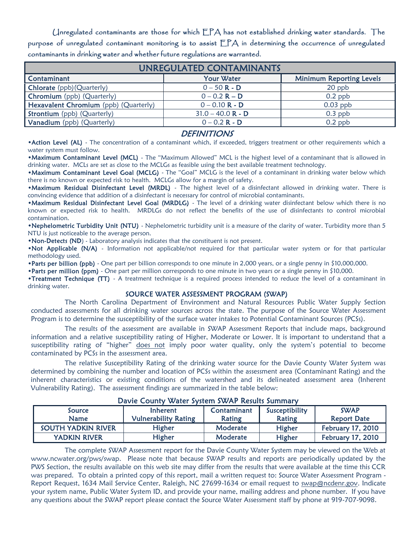Unregulated contaminants are those for which EPA has not established drinking water standards. The purpose of unregulated contaminant monitoring is to assist  $EPA$  in determining the occurrence of unregulated contaminants in drinking water and whether future regulations are warranted.

| UNREGULATED CONTAMINANTS              |                     |                                 |  |  |  |  |  |
|---------------------------------------|---------------------|---------------------------------|--|--|--|--|--|
| Contaminant                           | <b>Your Water</b>   | <b>Minimum Reporting Levels</b> |  |  |  |  |  |
| <b>Chlorate</b> (ppb) (Quarterly)     | $0 - 50 R - D$      | $20$ ppb                        |  |  |  |  |  |
| <b>Chromium</b> (ppb) (Quarterly)     | $0 - 0.2 R - D$     | $0.2$ ppb                       |  |  |  |  |  |
| Hexavalent Chromium (ppb) (Quarterly) | $0 - 0.10 R - D$    | $0.03$ ppb                      |  |  |  |  |  |
| <b>Strontium</b> (ppb) (Quarterly)    | $31.0 - 40.0 R - D$ | $0.3$ ppb                       |  |  |  |  |  |
| Vanadium (ppb) (Quarterly)            | $0 - 0.2 R - D$     | $0.2$ ppb                       |  |  |  |  |  |

### **DEFINITIONS**

• Action Level (AL) - The concentration of a contaminant which, if exceeded, triggers treatment or other requirements which a water system must follow.

•Maximum Contaminant Level (MCL) - The "Maximum Allowed" MCL is the highest level of a contaminant that is allowed in drinking water. MCLs are set as close to the MCLGs as feasible using the best available treatment technology.

•Maximum Contaminant Level Goal (MCLG) - The "Goal" MCLG is the level of a contaminant in drinking water below which there is no known or expected risk to health. MCLGs allow for a margin of safety.

•Maximum Residual Disinfectant Level (MRDL) - The highest level of a disinfectant allowed in drinking water. There is convincing evidence that addition of a disinfectant is necessary for control of microbial contaminants.

•Maximum Residual Disinfectant Level Goal (MRDLG) - The level of a drinking water disinfectant below which there is no known or expected risk to health. MRDLGs do not reflect the benefits of the use of disinfectants to control microbial contamination.

• Nephelometric Turbidity Unit (NTU) - Nephelometric turbidity unit is a measure of the clarity of water. Turbidity more than 5 NTU is just noticeable to the average person.

•Non-Detects (ND) - Laboratory analysis indicates that the constituent is not present.

•Not Applicable (N/A) - Information not applicable/not required for that particular water system or for that particular methodology used.

•Parts per billion (ppb) - One part per billion corresponds to one minute in 2,000 years, or a single penny in \$10,000,000.

•Parts per million (ppm) - One part per million corresponds to one minute in two years or a single penny in \$10,000.

•Treatment Technique (TT) - A treatment technique is a required process intended to reduce the level of a contaminant in drinking water.

#### SOURCE WATER ASSESSMENT PROGRAM (SWAP)

The North Carolina Department of Environment and Natural Resources Public Water Supply Section conducted assessments for all drinking water sources across the state. The purpose of the Source Water Assessment Program is to determine the susceptibility of the surface water intakes to Potential Contaminant Sources (PCSs).

The results of the assessment are available in SWAP Assessment Reports that include maps, background information and a relative susceptibility rating of Higher, Moderate or Lower. It is important to understand that a susceptibility rating of "higher" does not imply poor water quality, only the system's potential to become contaminated by PCSs in the assessment area.

The relative Susceptibility Rating of the drinking water source for the Davie County Water System was determined by combining the number and location of PCSs within the assessment area (Contaminant Rating) and the inherent characteristics or existing conditions of the watershed and its delineated assessment area (Inherent Vulnerability Rating). The assessment findings are summarized in the table below:

| Source             | <b>Inherent</b>             | Contaminant | Susceptibility | <b>SWAP</b>              |
|--------------------|-----------------------------|-------------|----------------|--------------------------|
| <b>Name</b>        | <b>Vulnerability Rating</b> | Rating      | Rating         | <b>Report Date</b>       |
| SOUTH YADKIN RIVER | Higher                      | Moderate    | Higher         | <b>February 17, 2010</b> |
| YADKIN RIVER       | Higher                      | Moderate    | Higher         | <b>February 17, 2010</b> |

### Davie County Water System SWAP Results Summary

The complete SWAP Assessment report for the Davie County Water System may be viewed on the Web at www.ncwater.org/pws/swap. Please note that because SWAP results and reports are periodically updated by the PWS Section, the results available on this web site may differ from the results that were available at the time this CCR was prepared. To obtain a printed copy of this report, mail a written request to: Source Water Assessment Program - Report Request, 1634 Mail Service Center, Raleigh, NC 27699-1634 or email request to [swap@ncdenr.gov.](mailto:swap@ncdenr.gov) Indicate your system name, Public Water System ID, and provide your name, mailing address and phone number. If you have any questions about the SWAP report please contact the Source Water Assessment staff by phone at 919-707-9098.